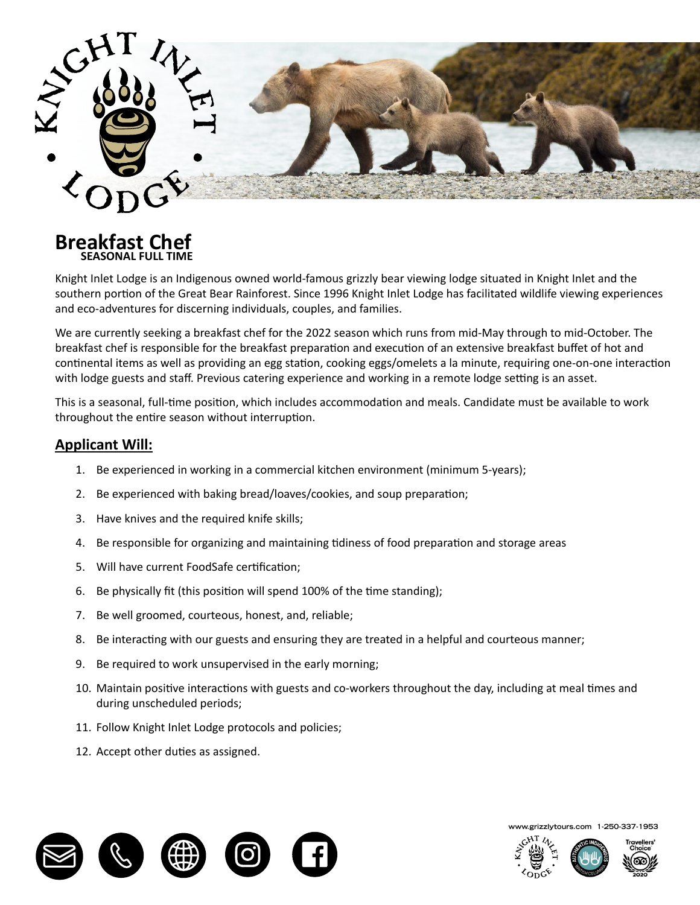



Knight Inlet Lodge is an Indigenous owned world-famous grizzly bear viewing lodge situated in Knight Inlet and the southern portion of the Great Bear Rainforest. Since 1996 Knight Inlet Lodge has facilitated wildlife viewing experiences and eco-adventures for discerning individuals, couples, and families.

with lodge guests and staff. Previous catering experience and working in a remote lodge setting is an asset. We are currently seeking a breakfast chef for the 2022 season which runs from mid-May through to mid-October. The breakfast chef is responsible for the breakfast preparation and execution of an extensive breakfast buffet of hot and continental items as well as providing an egg station, cooking eggs/omelets a la minute, requiring one-on-one interaction

This is a seasonal, full-time position, which includes accommodation and meals. Candidate must be available to work throughout the entire season without interruption. The status of the situation of the situated in Knight Inlet

## **Applicant Will:**

- We are currently seeking a **breakfast chef** for the 2022 season which runs from mid-May through to mid-1. Be experienced in working in a commercial kitchen environment (minimum 5-years);  $e^{\int$
- $\theta$  and fast position and continental items as  $\theta$  as  $\theta$  and  $\theta$  and cooking eggs  $\theta$  and  $\theta$  layses a large  $\theta$ 2. Be experienced with baking bread/loaves/cookies, and soup preparation;
- 3. Have knives and the required knife skills;
- 4. Be responsible for organizing and maintaining tidiness of food preparation and storage areas  $T_{\text{S}}$  and meals. Candidate must be accommodate must be available to an and meals. Candidate must be available to an and meals. Candidate must be available to an and meals. Candidate to an and must be available to an a
- 5. Will have current FoodSafe certification;
- be physically fit (this position will spend 100% of the time standing); 6. Be physically fit (this position will spend 100% of the time standing);  $\mathbf{e}^{\mathbf{e}}$
- 7. Be well groomed, courteous, honest, and, reliable;
- $\mathbf{b}^{\text{max}}$  interacting with our guests and ensuring they are treated in a helpful and courter; 8. Be interacting with our guests and ensuring they are treated in a helpful and courteous manner;  $\mathbf s$  manner; and ensuring the surface in a helpful and courte
- be experienced with baking bread/loaves/cookies, and soup preparation; 9. Be required to work unsupervised in the early morning;
- 10. Maintain positive interactions with guests and co-workers throughout the day, including at meal times and  $\mathbf{F}_{\mathbf{p}}$  at mear times and during unscheduled periods;
- 11. Follow Knight Inlet Lodge protocols and policies;
- 12. Accept other duties as assigned.



**www.grizzlytours.com 1-250-337-1953**